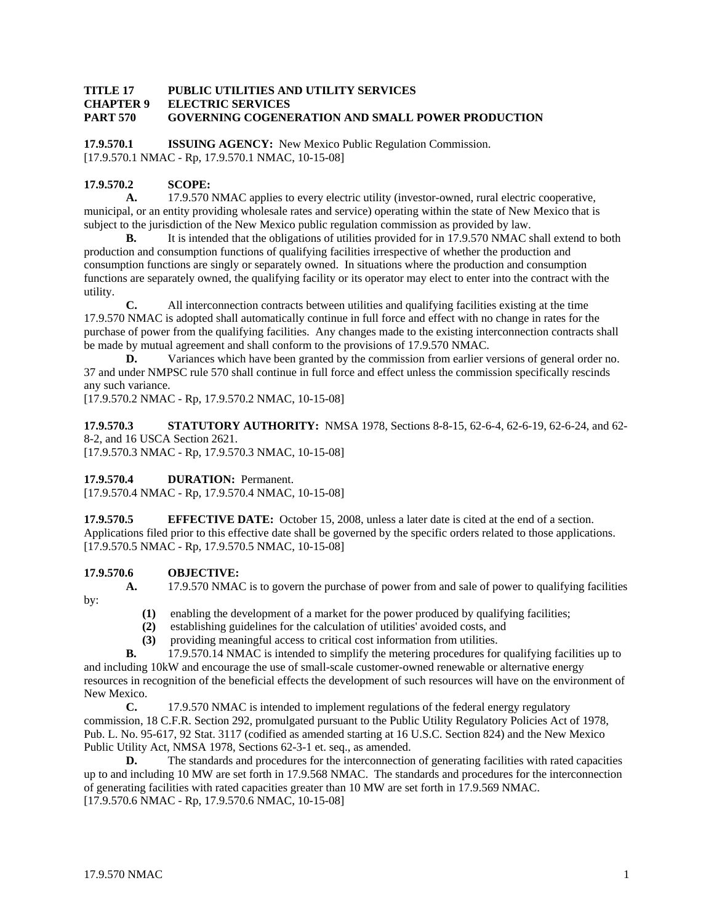#### **TITLE 17 PUBLIC UTILITIES AND UTILITY SERVICES CHAPTER 9 ELECTRIC SERVICES PART 570 GOVERNING COGENERATION AND SMALL POWER PRODUCTION**

**17.9.570.1 ISSUING AGENCY:** New Mexico Public Regulation Commission. [17.9.570.1 NMAC - Rp, 17.9.570.1 NMAC, 10-15-08]

# **17.9.570.2 SCOPE:**

**A.** 17.9.570 NMAC applies to every electric utility (investor-owned, rural electric cooperative, municipal, or an entity providing wholesale rates and service) operating within the state of New Mexico that is subject to the jurisdiction of the New Mexico public regulation commission as provided by law.

**B.** It is intended that the obligations of utilities provided for in 17.9.570 NMAC shall extend to both production and consumption functions of qualifying facilities irrespective of whether the production and consumption functions are singly or separately owned. In situations where the production and consumption functions are separately owned, the qualifying facility or its operator may elect to enter into the contract with the utility.

**C.** All interconnection contracts between utilities and qualifying facilities existing at the time 17.9.570 NMAC is adopted shall automatically continue in full force and effect with no change in rates for the purchase of power from the qualifying facilities. Any changes made to the existing interconnection contracts shall be made by mutual agreement and shall conform to the provisions of 17.9.570 NMAC.

**D.** Variances which have been granted by the commission from earlier versions of general order no. 37 and under NMPSC rule 570 shall continue in full force and effect unless the commission specifically rescinds any such variance.

[17.9.570.2 NMAC - Rp, 17.9.570.2 NMAC, 10-15-08]

**17.9.570.3 STATUTORY AUTHORITY:** NMSA 1978, Sections 8-8-15, 62-6-4, 62-6-19, 62-6-24, and 62- 8-2, and 16 USCA Section 2621.

[17.9.570.3 NMAC - Rp, 17.9.570.3 NMAC, 10-15-08]

**17.9.570.4 DURATION:** Permanent.

[17.9.570.4 NMAC - Rp, 17.9.570.4 NMAC, 10-15-08]

**17.9.570.5 EFFECTIVE DATE:** October 15, 2008, unless a later date is cited at the end of a section. Applications filed prior to this effective date shall be governed by the specific orders related to those applications. [17.9.570.5 NMAC - Rp, 17.9.570.5 NMAC, 10-15-08]

# **17.9.570.6 OBJECTIVE:**

by:

**A.** 17.9.570 NMAC is to govern the purchase of power from and sale of power to qualifying facilities

- **(1)** enabling the development of a market for the power produced by qualifying facilities;
- **(2)** establishing guidelines for the calculation of utilities' avoided costs, and
- **(3)** providing meaningful access to critical cost information from utilities.

**B.** 17.9.570.14 NMAC is intended to simplify the metering procedures for qualifying facilities up to and including 10kW and encourage the use of small-scale customer-owned renewable or alternative energy resources in recognition of the beneficial effects the development of such resources will have on the environment of

New Mexico. **C.** 17.9.570 NMAC is intended to implement regulations of the federal energy regulatory commission, 18 C.F.R. Section 292, promulgated pursuant to the Public Utility Regulatory Policies Act of 1978,

Pub. L. No. 95-617, 92 Stat. 3117 (codified as amended starting at 16 U.S.C. Section 824) and the New Mexico Public Utility Act, NMSA 1978, Sections 62-3-1 et. seq., as amended.

**D.** The standards and procedures for the interconnection of generating facilities with rated capacities up to and including 10 MW are set forth in 17.9.568 NMAC. The standards and procedures for the interconnection of generating facilities with rated capacities greater than 10 MW are set forth in 17.9.569 NMAC. [17.9.570.6 NMAC - Rp, 17.9.570.6 NMAC, 10-15-08]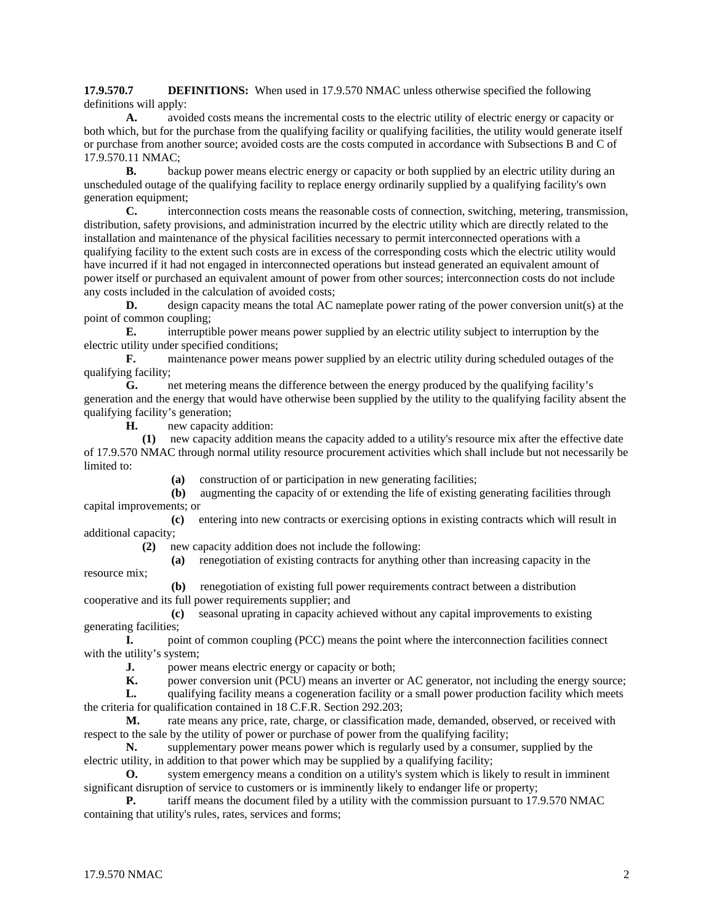**17.9.570.7 DEFINITIONS:** When used in 17.9.570 NMAC unless otherwise specified the following definitions will apply:

**A.** avoided costs means the incremental costs to the electric utility of electric energy or capacity or both which, but for the purchase from the qualifying facility or qualifying facilities, the utility would generate itself or purchase from another source; avoided costs are the costs computed in accordance with Subsections B and C of 17.9.570.11 NMAC;

**B.** backup power means electric energy or capacity or both supplied by an electric utility during an unscheduled outage of the qualifying facility to replace energy ordinarily supplied by a qualifying facility's own generation equipment;

**C.** interconnection costs means the reasonable costs of connection, switching, metering, transmission, distribution, safety provisions, and administration incurred by the electric utility which are directly related to the installation and maintenance of the physical facilities necessary to permit interconnected operations with a qualifying facility to the extent such costs are in excess of the corresponding costs which the electric utility would have incurred if it had not engaged in interconnected operations but instead generated an equivalent amount of power itself or purchased an equivalent amount of power from other sources; interconnection costs do not include any costs included in the calculation of avoided costs;

**D.** design capacity means the total AC nameplate power rating of the power conversion unit(s) at the point of common coupling;

**E.** interruptible power means power supplied by an electric utility subject to interruption by the electric utility under specified conditions;

**F.** maintenance power means power supplied by an electric utility during scheduled outages of the qualifying facility;

**G.** net metering means the difference between the energy produced by the qualifying facility's generation and the energy that would have otherwise been supplied by the utility to the qualifying facility absent the qualifying facility's generation;

**H.** new capacity addition:

 **(1)** new capacity addition means the capacity added to a utility's resource mix after the effective date of 17.9.570 NMAC through normal utility resource procurement activities which shall include but not necessarily be limited to:

**(a)** construction of or participation in new generating facilities;

 **(b)** augmenting the capacity of or extending the life of existing generating facilities through capital improvements; or

 **(c)** entering into new contracts or exercising options in existing contracts which will result in additional capacity;

**(2)** new capacity addition does not include the following:

**(a)** renegotiation of existing contracts for anything other than increasing capacity in the

resource mix; **(b)** renegotiation of existing full power requirements contract between a distribution cooperative and its full power requirements supplier; and

 **(c)** seasonal uprating in capacity achieved without any capital improvements to existing generating facilities;

**I.** point of common coupling (PCC) means the point where the interconnection facilities connect with the utility's system;

**J.** power means electric energy or capacity or both;

**K.** power conversion unit (PCU) means an inverter or AC generator, not including the energy source;

**L.** qualifying facility means a cogeneration facility or a small power production facility which meets the criteria for qualification contained in 18 C.F.R. Section 292.203;

**M.** rate means any price, rate, charge, or classification made, demanded, observed, or received with respect to the sale by the utility of power or purchase of power from the qualifying facility;

**N.** supplementary power means power which is regularly used by a consumer, supplied by the electric utility, in addition to that power which may be supplied by a qualifying facility;

**O.** system emergency means a condition on a utility's system which is likely to result in imminent significant disruption of service to customers or is imminently likely to endanger life or property;

**P.** tariff means the document filed by a utility with the commission pursuant to 17.9.570 NMAC containing that utility's rules, rates, services and forms;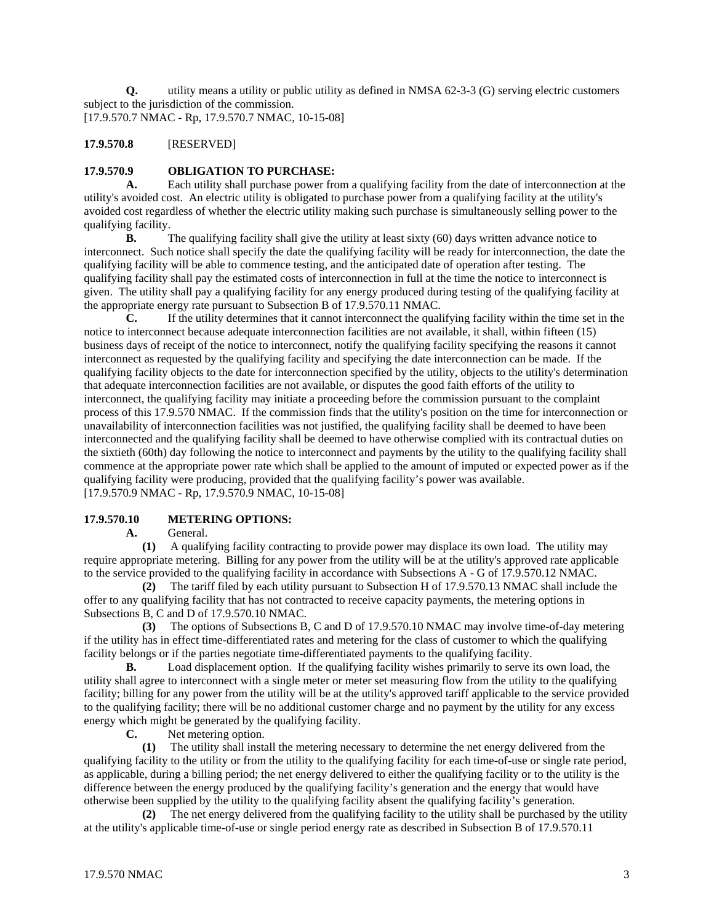**Q.** utility means a utility or public utility as defined in NMSA 62-3-3 (G) serving electric customers subject to the jurisdiction of the commission. [17.9.570.7 NMAC - Rp, 17.9.570.7 NMAC, 10-15-08]

# **17.9.570.8** [RESERVED]

# **17.9.570.9 OBLIGATION TO PURCHASE:**

**A.** Each utility shall purchase power from a qualifying facility from the date of interconnection at the utility's avoided cost. An electric utility is obligated to purchase power from a qualifying facility at the utility's avoided cost regardless of whether the electric utility making such purchase is simultaneously selling power to the qualifying facility.

**B.** The qualifying facility shall give the utility at least sixty (60) days written advance notice to interconnect. Such notice shall specify the date the qualifying facility will be ready for interconnection, the date the qualifying facility will be able to commence testing, and the anticipated date of operation after testing. The qualifying facility shall pay the estimated costs of interconnection in full at the time the notice to interconnect is given. The utility shall pay a qualifying facility for any energy produced during testing of the qualifying facility at the appropriate energy rate pursuant to Subsection B of 17.9.570.11 NMAC.

**C.** If the utility determines that it cannot interconnect the qualifying facility within the time set in the notice to interconnect because adequate interconnection facilities are not available, it shall, within fifteen (15) business days of receipt of the notice to interconnect, notify the qualifying facility specifying the reasons it cannot interconnect as requested by the qualifying facility and specifying the date interconnection can be made. If the qualifying facility objects to the date for interconnection specified by the utility, objects to the utility's determination that adequate interconnection facilities are not available, or disputes the good faith efforts of the utility to interconnect, the qualifying facility may initiate a proceeding before the commission pursuant to the complaint process of this 17.9.570 NMAC. If the commission finds that the utility's position on the time for interconnection or unavailability of interconnection facilities was not justified, the qualifying facility shall be deemed to have been interconnected and the qualifying facility shall be deemed to have otherwise complied with its contractual duties on the sixtieth (60th) day following the notice to interconnect and payments by the utility to the qualifying facility shall commence at the appropriate power rate which shall be applied to the amount of imputed or expected power as if the qualifying facility were producing, provided that the qualifying facility's power was available. [17.9.570.9 NMAC - Rp, 17.9.570.9 NMAC, 10-15-08]

### **17.9.570.10 METERING OPTIONS:**

**A.** General.

 **(1)** A qualifying facility contracting to provide power may displace its own load. The utility may require appropriate metering. Billing for any power from the utility will be at the utility's approved rate applicable to the service provided to the qualifying facility in accordance with Subsections A - G of 17.9.570.12 NMAC.

 **(2)** The tariff filed by each utility pursuant to Subsection H of 17.9.570.13 NMAC shall include the offer to any qualifying facility that has not contracted to receive capacity payments, the metering options in Subsections B, C and D of 17.9.570.10 NMAC.

 **(3)** The options of Subsections B, C and D of 17.9.570.10 NMAC may involve time-of-day metering if the utility has in effect time-differentiated rates and metering for the class of customer to which the qualifying facility belongs or if the parties negotiate time-differentiated payments to the qualifying facility.

**B.** Load displacement option. If the qualifying facility wishes primarily to serve its own load, the utility shall agree to interconnect with a single meter or meter set measuring flow from the utility to the qualifying facility; billing for any power from the utility will be at the utility's approved tariff applicable to the service provided to the qualifying facility; there will be no additional customer charge and no payment by the utility for any excess energy which might be generated by the qualifying facility.

**C.** Net metering option.

 **(1)** The utility shall install the metering necessary to determine the net energy delivered from the qualifying facility to the utility or from the utility to the qualifying facility for each time-of-use or single rate period, as applicable, during a billing period; the net energy delivered to either the qualifying facility or to the utility is the difference between the energy produced by the qualifying facility's generation and the energy that would have otherwise been supplied by the utility to the qualifying facility absent the qualifying facility's generation.

 **(2)** The net energy delivered from the qualifying facility to the utility shall be purchased by the utility at the utility's applicable time-of-use or single period energy rate as described in Subsection B of 17.9.570.11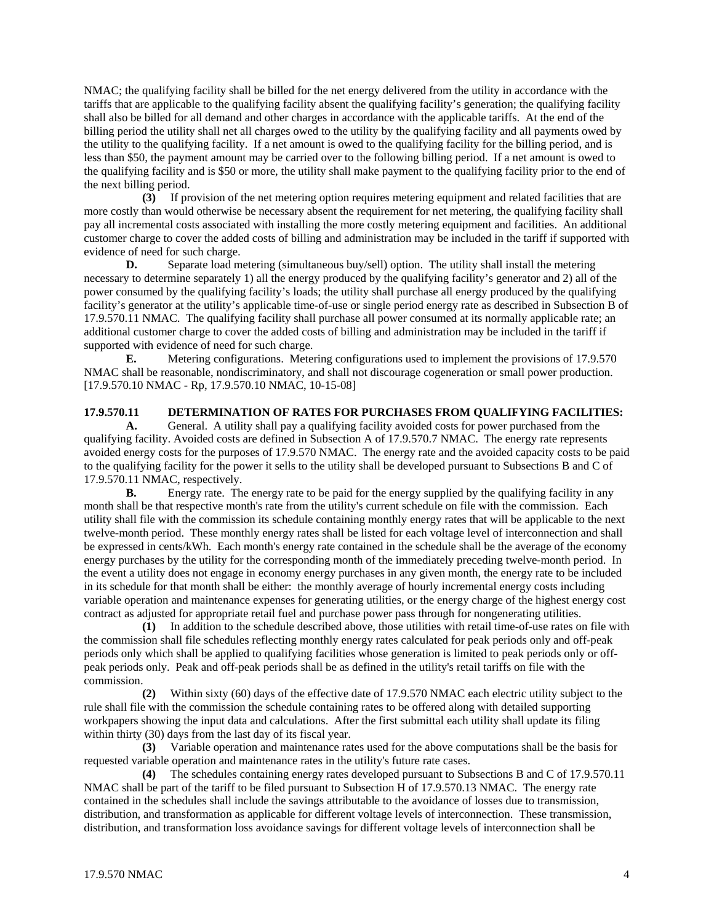NMAC; the qualifying facility shall be billed for the net energy delivered from the utility in accordance with the tariffs that are applicable to the qualifying facility absent the qualifying facility's generation; the qualifying facility shall also be billed for all demand and other charges in accordance with the applicable tariffs. At the end of the billing period the utility shall net all charges owed to the utility by the qualifying facility and all payments owed by the utility to the qualifying facility. If a net amount is owed to the qualifying facility for the billing period, and is less than \$50, the payment amount may be carried over to the following billing period. If a net amount is owed to the qualifying facility and is \$50 or more, the utility shall make payment to the qualifying facility prior to the end of the next billing period.

 **(3)** If provision of the net metering option requires metering equipment and related facilities that are more costly than would otherwise be necessary absent the requirement for net metering, the qualifying facility shall pay all incremental costs associated with installing the more costly metering equipment and facilities. An additional customer charge to cover the added costs of billing and administration may be included in the tariff if supported with evidence of need for such charge.

**D.** Separate load metering (simultaneous buy/sell) option. The utility shall install the metering necessary to determine separately 1) all the energy produced by the qualifying facility's generator and 2) all of the power consumed by the qualifying facility's loads; the utility shall purchase all energy produced by the qualifying facility's generator at the utility's applicable time-of-use or single period energy rate as described in Subsection B of 17.9.570.11 NMAC. The qualifying facility shall purchase all power consumed at its normally applicable rate; an additional customer charge to cover the added costs of billing and administration may be included in the tariff if supported with evidence of need for such charge.

**E.** Metering configurations. Metering configurations used to implement the provisions of 17.9.570 NMAC shall be reasonable, nondiscriminatory, and shall not discourage cogeneration or small power production. [17.9.570.10 NMAC - Rp, 17.9.570.10 NMAC, 10-15-08]

#### **17.9.570.11 DETERMINATION OF RATES FOR PURCHASES FROM QUALIFYING FACILITIES:**

**A.** General. A utility shall pay a qualifying facility avoided costs for power purchased from the qualifying facility. Avoided costs are defined in Subsection A of 17.9.570.7 NMAC. The energy rate represents avoided energy costs for the purposes of 17.9.570 NMAC. The energy rate and the avoided capacity costs to be paid to the qualifying facility for the power it sells to the utility shall be developed pursuant to Subsections B and C of 17.9.570.11 NMAC, respectively.

**B.** Energy rate. The energy rate to be paid for the energy supplied by the qualifying facility in any month shall be that respective month's rate from the utility's current schedule on file with the commission. Each utility shall file with the commission its schedule containing monthly energy rates that will be applicable to the next twelve-month period. These monthly energy rates shall be listed for each voltage level of interconnection and shall be expressed in cents/kWh. Each month's energy rate contained in the schedule shall be the average of the economy energy purchases by the utility for the corresponding month of the immediately preceding twelve-month period. In the event a utility does not engage in economy energy purchases in any given month, the energy rate to be included in its schedule for that month shall be either: the monthly average of hourly incremental energy costs including variable operation and maintenance expenses for generating utilities, or the energy charge of the highest energy cost contract as adjusted for appropriate retail fuel and purchase power pass through for nongenerating utilities.

 **(1)** In addition to the schedule described above, those utilities with retail time-of-use rates on file with the commission shall file schedules reflecting monthly energy rates calculated for peak periods only and off-peak periods only which shall be applied to qualifying facilities whose generation is limited to peak periods only or offpeak periods only. Peak and off-peak periods shall be as defined in the utility's retail tariffs on file with the commission.

 **(2)** Within sixty (60) days of the effective date of 17.9.570 NMAC each electric utility subject to the rule shall file with the commission the schedule containing rates to be offered along with detailed supporting workpapers showing the input data and calculations. After the first submittal each utility shall update its filing within thirty (30) days from the last day of its fiscal year.

 **(3)** Variable operation and maintenance rates used for the above computations shall be the basis for requested variable operation and maintenance rates in the utility's future rate cases.

 **(4)** The schedules containing energy rates developed pursuant to Subsections B and C of 17.9.570.11 NMAC shall be part of the tariff to be filed pursuant to Subsection H of 17.9.570.13 NMAC. The energy rate contained in the schedules shall include the savings attributable to the avoidance of losses due to transmission, distribution, and transformation as applicable for different voltage levels of interconnection. These transmission, distribution, and transformation loss avoidance savings for different voltage levels of interconnection shall be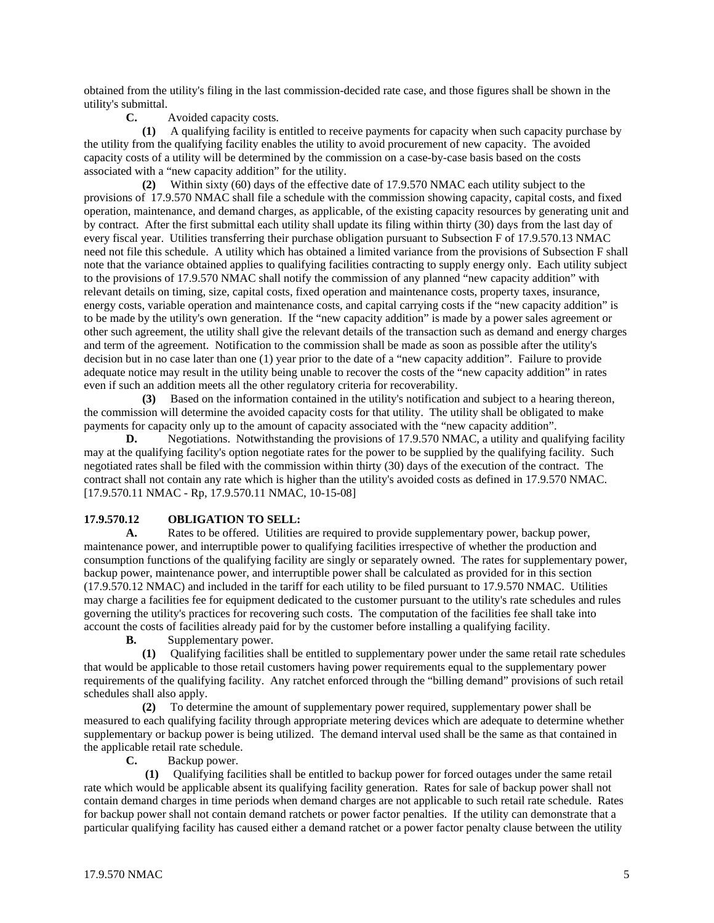obtained from the utility's filing in the last commission-decided rate case, and those figures shall be shown in the utility's submittal.

#### **C.** Avoided capacity costs.

 **(1)** A qualifying facility is entitled to receive payments for capacity when such capacity purchase by the utility from the qualifying facility enables the utility to avoid procurement of new capacity. The avoided capacity costs of a utility will be determined by the commission on a case-by-case basis based on the costs associated with a "new capacity addition" for the utility.

 **(2)** Within sixty (60) days of the effective date of 17.9.570 NMAC each utility subject to the provisions of 17.9.570 NMAC shall file a schedule with the commission showing capacity, capital costs, and fixed operation, maintenance, and demand charges, as applicable, of the existing capacity resources by generating unit and by contract. After the first submittal each utility shall update its filing within thirty (30) days from the last day of every fiscal year. Utilities transferring their purchase obligation pursuant to Subsection F of 17.9.570.13 NMAC need not file this schedule. A utility which has obtained a limited variance from the provisions of Subsection F shall note that the variance obtained applies to qualifying facilities contracting to supply energy only. Each utility subject to the provisions of 17.9.570 NMAC shall notify the commission of any planned "new capacity addition" with relevant details on timing, size, capital costs, fixed operation and maintenance costs, property taxes, insurance, energy costs, variable operation and maintenance costs, and capital carrying costs if the "new capacity addition" is to be made by the utility's own generation. If the "new capacity addition" is made by a power sales agreement or other such agreement, the utility shall give the relevant details of the transaction such as demand and energy charges and term of the agreement. Notification to the commission shall be made as soon as possible after the utility's decision but in no case later than one (1) year prior to the date of a "new capacity addition". Failure to provide adequate notice may result in the utility being unable to recover the costs of the "new capacity addition" in rates even if such an addition meets all the other regulatory criteria for recoverability.

 **(3)** Based on the information contained in the utility's notification and subject to a hearing thereon, the commission will determine the avoided capacity costs for that utility. The utility shall be obligated to make payments for capacity only up to the amount of capacity associated with the "new capacity addition".

**D.** Negotiations. Notwithstanding the provisions of 17.9.570 NMAC, a utility and qualifying facility may at the qualifying facility's option negotiate rates for the power to be supplied by the qualifying facility. Such negotiated rates shall be filed with the commission within thirty (30) days of the execution of the contract. The contract shall not contain any rate which is higher than the utility's avoided costs as defined in 17.9.570 NMAC. [17.9.570.11 NMAC - Rp, 17.9.570.11 NMAC, 10-15-08]

### **17.9.570.12 OBLIGATION TO SELL:**

**A.** Rates to be offered. Utilities are required to provide supplementary power, backup power, maintenance power, and interruptible power to qualifying facilities irrespective of whether the production and consumption functions of the qualifying facility are singly or separately owned. The rates for supplementary power, backup power, maintenance power, and interruptible power shall be calculated as provided for in this section (17.9.570.12 NMAC) and included in the tariff for each utility to be filed pursuant to 17.9.570 NMAC. Utilities may charge a facilities fee for equipment dedicated to the customer pursuant to the utility's rate schedules and rules governing the utility's practices for recovering such costs. The computation of the facilities fee shall take into account the costs of facilities already paid for by the customer before installing a qualifying facility.

**B.** Supplementary power.

 **(1)** Qualifying facilities shall be entitled to supplementary power under the same retail rate schedules that would be applicable to those retail customers having power requirements equal to the supplementary power requirements of the qualifying facility. Any ratchet enforced through the "billing demand" provisions of such retail schedules shall also apply.

 **(2)** To determine the amount of supplementary power required, supplementary power shall be measured to each qualifying facility through appropriate metering devices which are adequate to determine whether supplementary or backup power is being utilized. The demand interval used shall be the same as that contained in the applicable retail rate schedule.

**C.** Backup power.

 **(1)** Qualifying facilities shall be entitled to backup power for forced outages under the same retail rate which would be applicable absent its qualifying facility generation. Rates for sale of backup power shall not contain demand charges in time periods when demand charges are not applicable to such retail rate schedule. Rates for backup power shall not contain demand ratchets or power factor penalties. If the utility can demonstrate that a particular qualifying facility has caused either a demand ratchet or a power factor penalty clause between the utility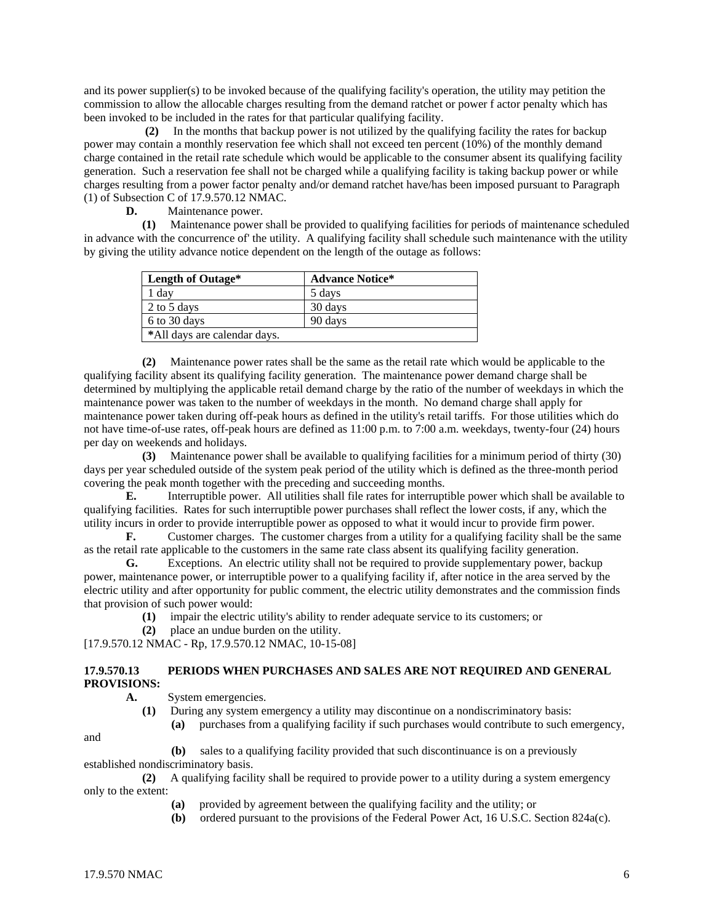and its power supplier(s) to be invoked because of the qualifying facility's operation, the utility may petition the commission to allow the allocable charges resulting from the demand ratchet or power f actor penalty which has been invoked to be included in the rates for that particular qualifying facility.

 **(2)** In the months that backup power is not utilized by the qualifying facility the rates for backup power may contain a monthly reservation fee which shall not exceed ten percent (10%) of the monthly demand charge contained in the retail rate schedule which would be applicable to the consumer absent its qualifying facility generation. Such a reservation fee shall not be charged while a qualifying facility is taking backup power or while charges resulting from a power factor penalty and/or demand ratchet have/has been imposed pursuant to Paragraph (1) of Subsection C of 17.9.570.12 NMAC.<br> **D.** Maintenance power.

**D.** Maintenance power.

 **(1)** Maintenance power shall be provided to qualifying facilities for periods of maintenance scheduled in advance with the concurrence of' the utility. A qualifying facility shall schedule such maintenance with the utility by giving the utility advance notice dependent on the length of the outage as follows:

| Length of Outage*            | <b>Advance Notice*</b> |
|------------------------------|------------------------|
| day                          | 5 days                 |
| 2 to 5 days                  | 30 days                |
| 6 to 30 days                 | 90 days                |
| *All days are calendar days. |                        |

 **(2)** Maintenance power rates shall be the same as the retail rate which would be applicable to the qualifying facility absent its qualifying facility generation. The maintenance power demand charge shall be determined by multiplying the applicable retail demand charge by the ratio of the number of weekdays in which the maintenance power was taken to the number of weekdays in the month. No demand charge shall apply for maintenance power taken during off-peak hours as defined in the utility's retail tariffs. For those utilities which do not have time-of-use rates, off-peak hours are defined as 11:00 p.m. to 7:00 a.m. weekdays, twenty-four (24) hours per day on weekends and holidays.

 **(3)** Maintenance power shall be available to qualifying facilities for a minimum period of thirty (30) days per year scheduled outside of the system peak period of the utility which is defined as the three-month period covering the peak month together with the preceding and succeeding months.

**E.** Interruptible power. All utilities shall file rates for interruptible power which shall be available to qualifying facilities. Rates for such interruptible power purchases shall reflect the lower costs, if any, which the utility incurs in order to provide interruptible power as opposed to what it would incur to provide firm power.

**F.** Customer charges. The customer charges from a utility for a qualifying facility shall be the same as the retail rate applicable to the customers in the same rate class absent its qualifying facility generation.

**G.** Exceptions. An electric utility shall not be required to provide supplementary power, backup power, maintenance power, or interruptible power to a qualifying facility if, after notice in the area served by the electric utility and after opportunity for public comment, the electric utility demonstrates and the commission finds that provision of such power would:

- **(1)** impair the electric utility's ability to render adequate service to its customers; or
- **(2)** place an undue burden on the utility.

[17.9.570.12 NMAC - Rp, 17.9.570.12 NMAC, 10-15-08]

### **17.9.570.13 PERIODS WHEN PURCHASES AND SALES ARE NOT REQUIRED AND GENERAL PROVISIONS:**

 **A.** System emergencies.

 **(1)** During any system emergency a utility may discontinue on a nondiscriminatory basis: **(a)** purchases from a qualifying facility if such purchases would contribute to such emergency,

and

**(b)** sales to a qualifying facility provided that such discontinuance is on a previously

established nondiscriminatory basis.

 **(2)** A qualifying facility shall be required to provide power to a utility during a system emergency only to the extent:

- **(a)** provided by agreement between the qualifying facility and the utility; or
- **(b)** ordered pursuant to the provisions of the Federal Power Act, 16 U.S.C. Section 824a(c).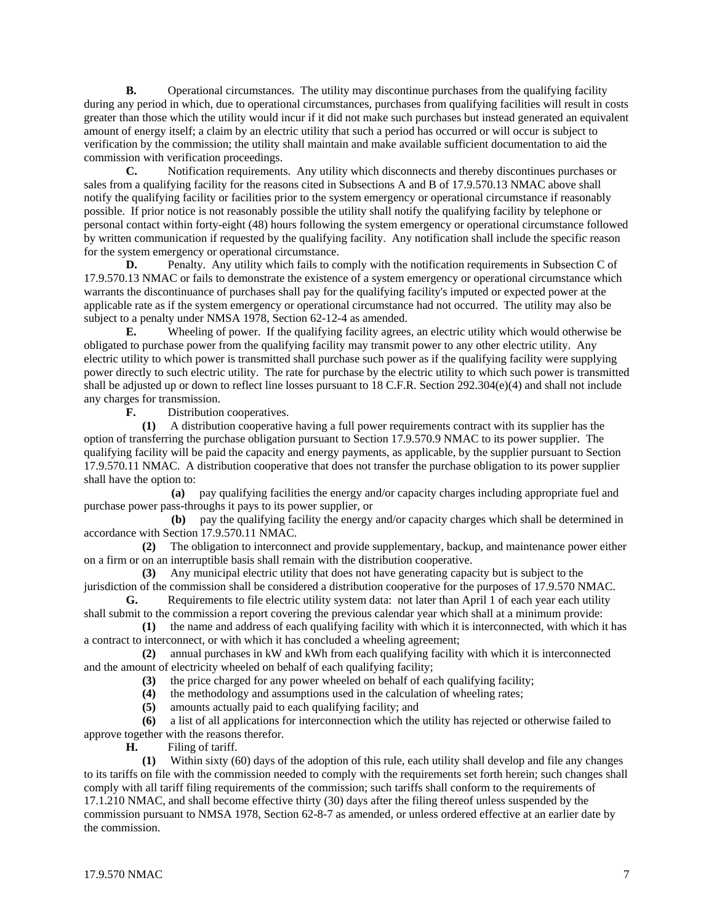**B.** Operational circumstances. The utility may discontinue purchases from the qualifying facility during any period in which, due to operational circumstances, purchases from qualifying facilities will result in costs greater than those which the utility would incur if it did not make such purchases but instead generated an equivalent amount of energy itself; a claim by an electric utility that such a period has occurred or will occur is subject to verification by the commission; the utility shall maintain and make available sufficient documentation to aid the commission with verification proceedings.

**C.** Notification requirements. Any utility which disconnects and thereby discontinues purchases or sales from a qualifying facility for the reasons cited in Subsections A and B of 17.9.570.13 NMAC above shall notify the qualifying facility or facilities prior to the system emergency or operational circumstance if reasonably possible. If prior notice is not reasonably possible the utility shall notify the qualifying facility by telephone or personal contact within forty-eight (48) hours following the system emergency or operational circumstance followed by written communication if requested by the qualifying facility. Any notification shall include the specific reason for the system emergency or operational circumstance.

**D.** Penalty. Any utility which fails to comply with the notification requirements in Subsection C of 17.9.570.13 NMAC or fails to demonstrate the existence of a system emergency or operational circumstance which warrants the discontinuance of purchases shall pay for the qualifying facility's imputed or expected power at the applicable rate as if the system emergency or operational circumstance had not occurred. The utility may also be subject to a penalty under NMSA 1978, Section 62-12-4 as amended.

**E.** Wheeling of power. If the qualifying facility agrees, an electric utility which would otherwise be obligated to purchase power from the qualifying facility may transmit power to any other electric utility. Any electric utility to which power is transmitted shall purchase such power as if the qualifying facility were supplying power directly to such electric utility. The rate for purchase by the electric utility to which such power is transmitted shall be adjusted up or down to reflect line losses pursuant to 18 C.F.R. Section 292.304(e)(4) and shall not include any charges for transmission.

**F.** Distribution cooperatives.

 **(1)** A distribution cooperative having a full power requirements contract with its supplier has the option of transferring the purchase obligation pursuant to Section 17.9.570.9 NMAC to its power supplier. The qualifying facility will be paid the capacity and energy payments, as applicable, by the supplier pursuant to Section 17.9.570.11 NMAC. A distribution cooperative that does not transfer the purchase obligation to its power supplier shall have the option to:

 **(a)** pay qualifying facilities the energy and/or capacity charges including appropriate fuel and purchase power pass-throughs it pays to its power supplier, or

 **(b)** pay the qualifying facility the energy and/or capacity charges which shall be determined in accordance with Section 17.9.570.11 NMAC.

 **(2)** The obligation to interconnect and provide supplementary, backup, and maintenance power either on a firm or on an interruptible basis shall remain with the distribution cooperative.

 **(3)** Any municipal electric utility that does not have generating capacity but is subject to the jurisdiction of the commission shall be considered a distribution cooperative for the purposes of 17.9.570 NMAC.

**G.** Requirements to file electric utility system data: not later than April 1 of each year each utility shall submit to the commission a report covering the previous calendar year which shall at a minimum provide:

 **(1)** the name and address of each qualifying facility with which it is interconnected, with which it has a contract to interconnect, or with which it has concluded a wheeling agreement;

 **(2)** annual purchases in kW and kWh from each qualifying facility with which it is interconnected and the amount of electricity wheeled on behalf of each qualifying facility;

**(3)** the price charged for any power wheeled on behalf of each qualifying facility;

**(4)** the methodology and assumptions used in the calculation of wheeling rates;

**(5)** amounts actually paid to each qualifying facility; and

 **(6)** a list of all applications for interconnection which the utility has rejected or otherwise failed to approve together with the reasons therefor.

**H.** Filing of tariff.

 **(1)** Within sixty (60) days of the adoption of this rule, each utility shall develop and file any changes to its tariffs on file with the commission needed to comply with the requirements set forth herein; such changes shall comply with all tariff filing requirements of the commission; such tariffs shall conform to the requirements of 17.1.210 NMAC, and shall become effective thirty (30) days after the filing thereof unless suspended by the commission pursuant to NMSA 1978, Section 62-8-7 as amended, or unless ordered effective at an earlier date by the commission.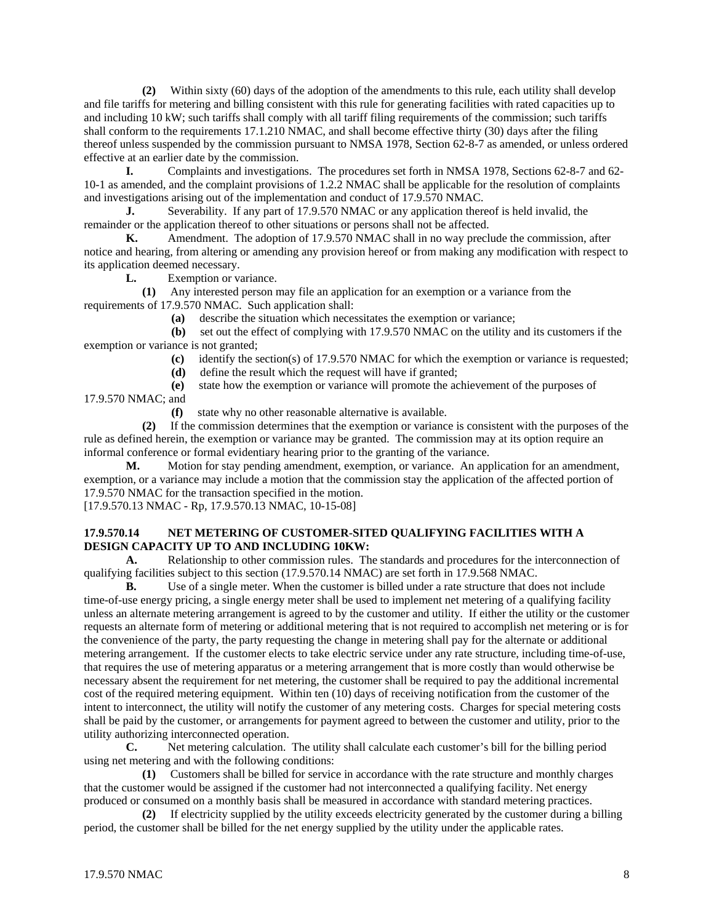**(2)** Within sixty (60) days of the adoption of the amendments to this rule, each utility shall develop and file tariffs for metering and billing consistent with this rule for generating facilities with rated capacities up to and including 10 kW; such tariffs shall comply with all tariff filing requirements of the commission; such tariffs shall conform to the requirements 17.1.210 NMAC, and shall become effective thirty (30) days after the filing thereof unless suspended by the commission pursuant to NMSA 1978, Section 62-8-7 as amended, or unless ordered effective at an earlier date by the commission.

**I.** Complaints and investigations. The procedures set forth in NMSA 1978, Sections 62-8-7 and 62- 10-1 as amended, and the complaint provisions of 1.2.2 NMAC shall be applicable for the resolution of complaints and investigations arising out of the implementation and conduct of 17.9.570 NMAC.

**J.** Severability. If any part of 17.9.570 NMAC or any application thereof is held invalid, the remainder or the application thereof to other situations or persons shall not be affected.

**K.** Amendment. The adoption of 17.9.570 NMAC shall in no way preclude the commission, after notice and hearing, from altering or amending any provision hereof or from making any modification with respect to its application deemed necessary.

**L.** Exemption or variance.

 **(1)** Any interested person may file an application for an exemption or a variance from the requirements of 17.9.570 NMAC. Such application shall:

**(a)** describe the situation which necessitates the exemption or variance;

 **(b)** set out the effect of complying with 17.9.570 NMAC on the utility and its customers if the exemption or variance is not granted;

**(c)** identify the section(s) of 17.9.570 NMAC for which the exemption or variance is requested;

**(d)** define the result which the request will have if granted;

**(e)** state how the exemption or variance will promote the achievement of the purposes of

17.9.570 NMAC; and

**(f)** state why no other reasonable alternative is available.

 **(2)** If the commission determines that the exemption or variance is consistent with the purposes of the rule as defined herein, the exemption or variance may be granted. The commission may at its option require an informal conference or formal evidentiary hearing prior to the granting of the variance.

**M.** Motion for stay pending amendment, exemption, or variance. An application for an amendment, exemption, or a variance may include a motion that the commission stay the application of the affected portion of 17.9.570 NMAC for the transaction specified in the motion.

[17.9.570.13 NMAC - Rp, 17.9.570.13 NMAC, 10-15-08]

### **17.9.570.14 NET METERING OF CUSTOMER-SITED QUALIFYING FACILITIES WITH A DESIGN CAPACITY UP TO AND INCLUDING 10KW:**

**A.** Relationship to other commission rules. The standards and procedures for the interconnection of qualifying facilities subject to this section (17.9.570.14 NMAC) are set forth in 17.9.568 NMAC.

**B.** Use of a single meter. When the customer is billed under a rate structure that does not include time-of-use energy pricing, a single energy meter shall be used to implement net metering of a qualifying facility unless an alternate metering arrangement is agreed to by the customer and utility. If either the utility or the customer requests an alternate form of metering or additional metering that is not required to accomplish net metering or is for the convenience of the party, the party requesting the change in metering shall pay for the alternate or additional metering arrangement. If the customer elects to take electric service under any rate structure, including time-of-use, that requires the use of metering apparatus or a metering arrangement that is more costly than would otherwise be necessary absent the requirement for net metering, the customer shall be required to pay the additional incremental cost of the required metering equipment. Within ten (10) days of receiving notification from the customer of the intent to interconnect, the utility will notify the customer of any metering costs. Charges for special metering costs shall be paid by the customer, or arrangements for payment agreed to between the customer and utility, prior to the utility authorizing interconnected operation.

**C.** Net metering calculation. The utility shall calculate each customer's bill for the billing period using net metering and with the following conditions:

 **(1)** Customers shall be billed for service in accordance with the rate structure and monthly charges that the customer would be assigned if the customer had not interconnected a qualifying facility. Net energy produced or consumed on a monthly basis shall be measured in accordance with standard metering practices.

 **(2)** If electricity supplied by the utility exceeds electricity generated by the customer during a billing period, the customer shall be billed for the net energy supplied by the utility under the applicable rates.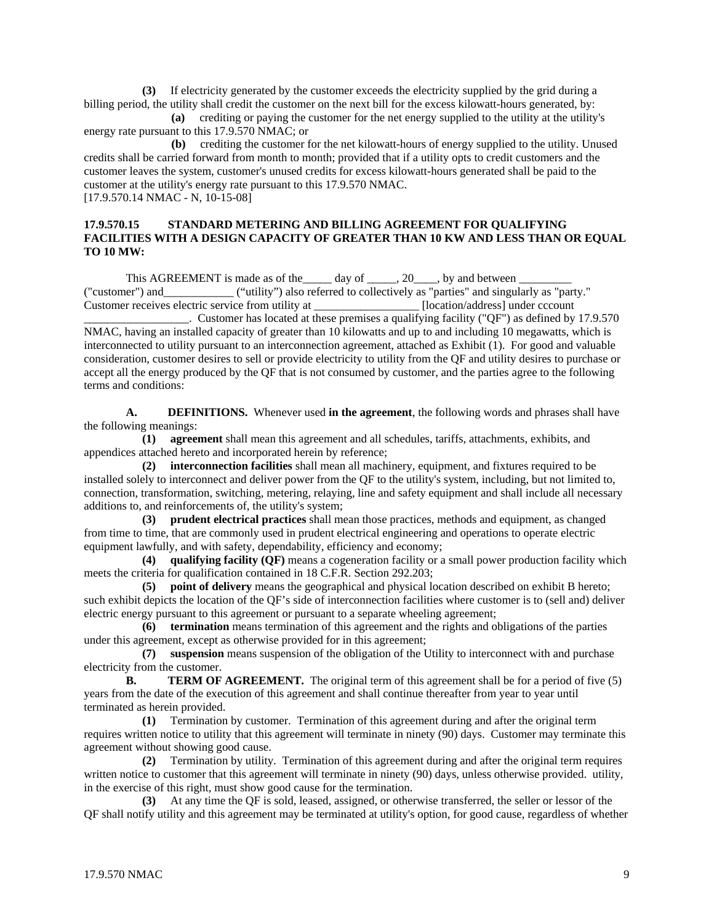**(3)** If electricity generated by the customer exceeds the electricity supplied by the grid during a billing period, the utility shall credit the customer on the next bill for the excess kilowatt-hours generated, by:

 **(a)** crediting or paying the customer for the net energy supplied to the utility at the utility's energy rate pursuant to this 17.9.570 NMAC; or

 **(b)** crediting the customer for the net kilowatt-hours of energy supplied to the utility. Unused credits shall be carried forward from month to month; provided that if a utility opts to credit customers and the customer leaves the system, customer's unused credits for excess kilowatt-hours generated shall be paid to the customer at the utility's energy rate pursuant to this 17.9.570 NMAC. [17.9.570.14 NMAC - N, 10-15-08]

### **17.9.570.15 STANDARD METERING AND BILLING AGREEMENT FOR QUALIFYING FACILITIES WITH A DESIGN CAPACITY OF GREATER THAN 10 KW AND LESS THAN OR EQUAL TO 10 MW:**

This AGREEMENT is made as of the \_\_\_\_\_ day of \_\_\_\_\_, 20\_\_\_\_, by and between ("customer") and ("utility") also referred to collectively as "parties" and singularly as "party." Customer receives electric service from utility at \_\_\_\_\_\_\_\_\_\_\_\_\_\_\_\_\_\_ [location/address] under cccount

\_\_\_\_\_\_\_\_\_\_\_\_\_\_\_\_\_\_. Customer has located at these premises a qualifying facility ("QF") as defined by 17.9.570 NMAC, having an installed capacity of greater than 10 kilowatts and up to and including 10 megawatts, which is interconnected to utility pursuant to an interconnection agreement, attached as Exhibit (1). For good and valuable consideration, customer desires to sell or provide electricity to utility from the QF and utility desires to purchase or accept all the energy produced by the QF that is not consumed by customer, and the parties agree to the following terms and conditions:

**A. DEFINITIONS.** Whenever used **in the agreement**, the following words and phrases shall have the following meanings:

 **(1) agreement** shall mean this agreement and all schedules, tariffs, attachments, exhibits, and appendices attached hereto and incorporated herein by reference;

 **(2) interconnection facilities** shall mean all machinery, equipment, and fixtures required to be installed solely to interconnect and deliver power from the QF to the utility's system, including, but not limited to, connection, transformation, switching, metering, relaying, line and safety equipment and shall include all necessary additions to, and reinforcements of, the utility's system;

 **(3) prudent electrical practices** shall mean those practices, methods and equipment, as changed from time to time, that are commonly used in prudent electrical engineering and operations to operate electric equipment lawfully, and with safety, dependability, efficiency and economy;

 **(4) qualifying facility (QF)** means a cogeneration facility or a small power production facility which meets the criteria for qualification contained in 18 C.F.R. Section 292.203;

 **(5) point of delivery** means the geographical and physical location described on exhibit B hereto; such exhibit depicts the location of the QF's side of interconnection facilities where customer is to (sell and) deliver electric energy pursuant to this agreement or pursuant to a separate wheeling agreement;

 **(6) termination** means termination of this agreement and the rights and obligations of the parties under this agreement, except as otherwise provided for in this agreement;

 **(7) suspension** means suspension of the obligation of the Utility to interconnect with and purchase electricity from the customer.

**B. TERM OF AGREEMENT.** The original term of this agreement shall be for a period of five (5) years from the date of the execution of this agreement and shall continue thereafter from year to year until terminated as herein provided.

 **(1)** Termination by customer. Termination of this agreement during and after the original term requires written notice to utility that this agreement will terminate in ninety (90) days. Customer may terminate this agreement without showing good cause.

 **(2)** Termination by utility. Termination of this agreement during and after the original term requires written notice to customer that this agreement will terminate in ninety (90) days, unless otherwise provided. utility, in the exercise of this right, must show good cause for the termination.

 **(3)** At any time the QF is sold, leased, assigned, or otherwise transferred, the seller or lessor of the QF shall notify utility and this agreement may be terminated at utility's option, for good cause, regardless of whether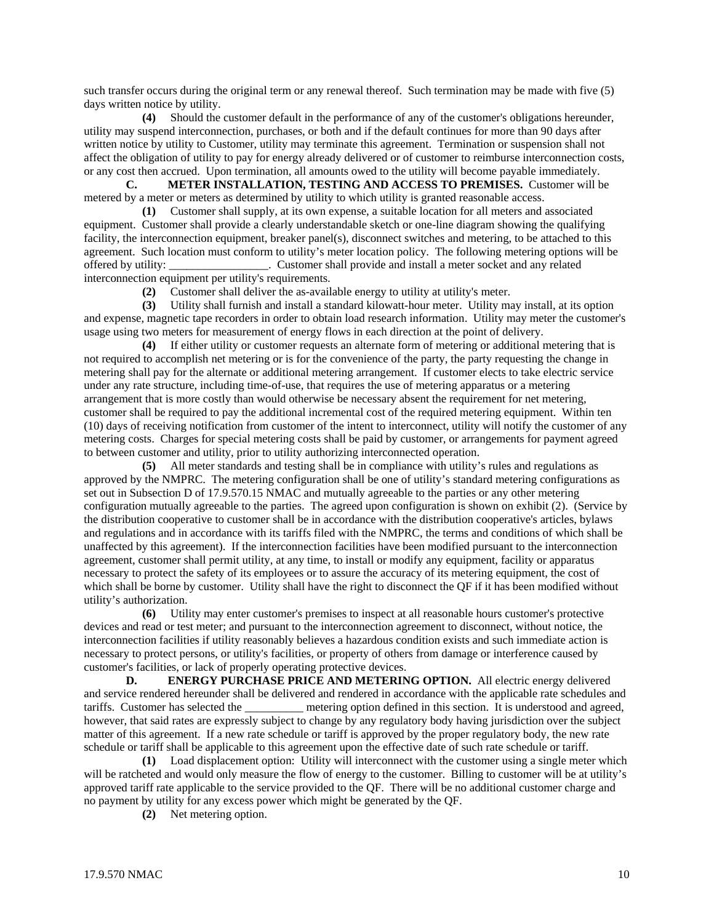such transfer occurs during the original term or any renewal thereof. Such termination may be made with five (5) days written notice by utility.

 **(4)** Should the customer default in the performance of any of the customer's obligations hereunder, utility may suspend interconnection, purchases, or both and if the default continues for more than 90 days after written notice by utility to Customer, utility may terminate this agreement. Termination or suspension shall not affect the obligation of utility to pay for energy already delivered or of customer to reimburse interconnection costs, or any cost then accrued. Upon termination, all amounts owed to the utility will become payable immediately.

**C. METER INSTALLATION, TESTING AND ACCESS TO PREMISES.** Customer will be metered by a meter or meters as determined by utility to which utility is granted reasonable access.

 **(1)** Customer shall supply, at its own expense, a suitable location for all meters and associated equipment. Customer shall provide a clearly understandable sketch or one-line diagram showing the qualifying facility, the interconnection equipment, breaker panel(s), disconnect switches and metering, to be attached to this agreement. Such location must conform to utility's meter location policy. The following metering options will be offered by utility: \_\_\_\_\_\_\_\_\_\_\_\_\_\_\_\_\_. Customer shall provide and install a meter socket and any related interconnection equipment per utility's requirements.

**(2)** Customer shall deliver the as-available energy to utility at utility's meter.

 **(3)** Utility shall furnish and install a standard kilowatt-hour meter. Utility may install, at its option and expense, magnetic tape recorders in order to obtain load research information. Utility may meter the customer's usage using two meters for measurement of energy flows in each direction at the point of delivery.

 **(4)** If either utility or customer requests an alternate form of metering or additional metering that is not required to accomplish net metering or is for the convenience of the party, the party requesting the change in metering shall pay for the alternate or additional metering arrangement. If customer elects to take electric service under any rate structure, including time-of-use, that requires the use of metering apparatus or a metering arrangement that is more costly than would otherwise be necessary absent the requirement for net metering, customer shall be required to pay the additional incremental cost of the required metering equipment. Within ten (10) days of receiving notification from customer of the intent to interconnect, utility will notify the customer of any metering costs. Charges for special metering costs shall be paid by customer, or arrangements for payment agreed to between customer and utility, prior to utility authorizing interconnected operation.

 **(5)** All meter standards and testing shall be in compliance with utility's rules and regulations as approved by the NMPRC. The metering configuration shall be one of utility's standard metering configurations as set out in Subsection D of 17.9.570.15 NMAC and mutually agreeable to the parties or any other metering configuration mutually agreeable to the parties. The agreed upon configuration is shown on exhibit (2). (Service by the distribution cooperative to customer shall be in accordance with the distribution cooperative's articles, bylaws and regulations and in accordance with its tariffs filed with the NMPRC, the terms and conditions of which shall be unaffected by this agreement). If the interconnection facilities have been modified pursuant to the interconnection agreement, customer shall permit utility, at any time, to install or modify any equipment, facility or apparatus necessary to protect the safety of its employees or to assure the accuracy of its metering equipment, the cost of which shall be borne by customer. Utility shall have the right to disconnect the QF if it has been modified without utility's authorization.

 **(6)** Utility may enter customer's premises to inspect at all reasonable hours customer's protective devices and read or test meter; and pursuant to the interconnection agreement to disconnect, without notice, the interconnection facilities if utility reasonably believes a hazardous condition exists and such immediate action is necessary to protect persons, or utility's facilities, or property of others from damage or interference caused by customer's facilities, or lack of properly operating protective devices.

**D. ENERGY PURCHASE PRICE AND METERING OPTION.** All electric energy delivered and service rendered hereunder shall be delivered and rendered in accordance with the applicable rate schedules and tariffs. Customer has selected the \_\_\_\_\_\_\_\_\_\_ metering option defined in this section. It is understood and agreed, however, that said rates are expressly subject to change by any regulatory body having jurisdiction over the subject matter of this agreement. If a new rate schedule or tariff is approved by the proper regulatory body, the new rate schedule or tariff shall be applicable to this agreement upon the effective date of such rate schedule or tariff.

 **(1)** Load displacement option: Utility will interconnect with the customer using a single meter which will be ratcheted and would only measure the flow of energy to the customer. Billing to customer will be at utility's approved tariff rate applicable to the service provided to the QF. There will be no additional customer charge and no payment by utility for any excess power which might be generated by the QF.

**(2)** Net metering option.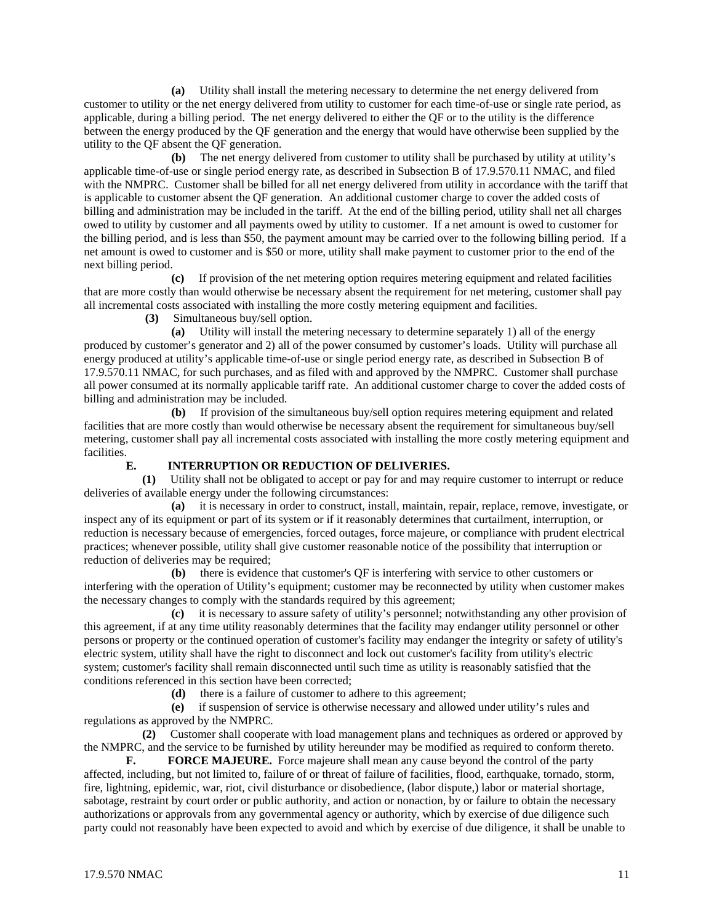**(a)** Utility shall install the metering necessary to determine the net energy delivered from customer to utility or the net energy delivered from utility to customer for each time-of-use or single rate period, as applicable, during a billing period. The net energy delivered to either the QF or to the utility is the difference between the energy produced by the QF generation and the energy that would have otherwise been supplied by the utility to the QF absent the QF generation.

 **(b)** The net energy delivered from customer to utility shall be purchased by utility at utility's applicable time-of-use or single period energy rate, as described in Subsection B of 17.9.570.11 NMAC, and filed with the NMPRC. Customer shall be billed for all net energy delivered from utility in accordance with the tariff that is applicable to customer absent the QF generation. An additional customer charge to cover the added costs of billing and administration may be included in the tariff. At the end of the billing period, utility shall net all charges owed to utility by customer and all payments owed by utility to customer. If a net amount is owed to customer for the billing period, and is less than \$50, the payment amount may be carried over to the following billing period. If a net amount is owed to customer and is \$50 or more, utility shall make payment to customer prior to the end of the next billing period.

 **(c)** If provision of the net metering option requires metering equipment and related facilities that are more costly than would otherwise be necessary absent the requirement for net metering, customer shall pay all incremental costs associated with installing the more costly metering equipment and facilities.

**(3)** Simultaneous buy/sell option.

 **(a)** Utility will install the metering necessary to determine separately 1) all of the energy produced by customer's generator and 2) all of the power consumed by customer's loads. Utility will purchase all energy produced at utility's applicable time-of-use or single period energy rate, as described in Subsection B of 17.9.570.11 NMAC, for such purchases, and as filed with and approved by the NMPRC. Customer shall purchase all power consumed at its normally applicable tariff rate. An additional customer charge to cover the added costs of billing and administration may be included.

 **(b)** If provision of the simultaneous buy/sell option requires metering equipment and related facilities that are more costly than would otherwise be necessary absent the requirement for simultaneous buy/sell metering, customer shall pay all incremental costs associated with installing the more costly metering equipment and facilities.

### **E. INTERRUPTION OR REDUCTION OF DELIVERIES.**

 **(1)** Utility shall not be obligated to accept or pay for and may require customer to interrupt or reduce deliveries of available energy under the following circumstances:

 **(a)** it is necessary in order to construct, install, maintain, repair, replace, remove, investigate, or inspect any of its equipment or part of its system or if it reasonably determines that curtailment, interruption, or reduction is necessary because of emergencies, forced outages, force majeure, or compliance with prudent electrical practices; whenever possible, utility shall give customer reasonable notice of the possibility that interruption or reduction of deliveries may be required:

 **(b)** there is evidence that customer's QF is interfering with service to other customers or interfering with the operation of Utility's equipment; customer may be reconnected by utility when customer makes the necessary changes to comply with the standards required by this agreement;

 **(c)** it is necessary to assure safety of utility's personnel; notwithstanding any other provision of this agreement, if at any time utility reasonably determines that the facility may endanger utility personnel or other persons or property or the continued operation of customer's facility may endanger the integrity or safety of utility's electric system, utility shall have the right to disconnect and lock out customer's facility from utility's electric system; customer's facility shall remain disconnected until such time as utility is reasonably satisfied that the conditions referenced in this section have been corrected;

**(d)** there is a failure of customer to adhere to this agreement;

 **(e)** if suspension of service is otherwise necessary and allowed under utility's rules and regulations as approved by the NMPRC.

 **(2)** Customer shall cooperate with load management plans and techniques as ordered or approved by the NMPRC, and the service to be furnished by utility hereunder may be modified as required to conform thereto.

**F. FORCE MAJEURE.** Force majeure shall mean any cause beyond the control of the party affected, including, but not limited to, failure of or threat of failure of facilities, flood, earthquake, tornado, storm, fire, lightning, epidemic, war, riot, civil disturbance or disobedience, (labor dispute,) labor or material shortage, sabotage, restraint by court order or public authority, and action or nonaction, by or failure to obtain the necessary authorizations or approvals from any governmental agency or authority, which by exercise of due diligence such party could not reasonably have been expected to avoid and which by exercise of due diligence, it shall be unable to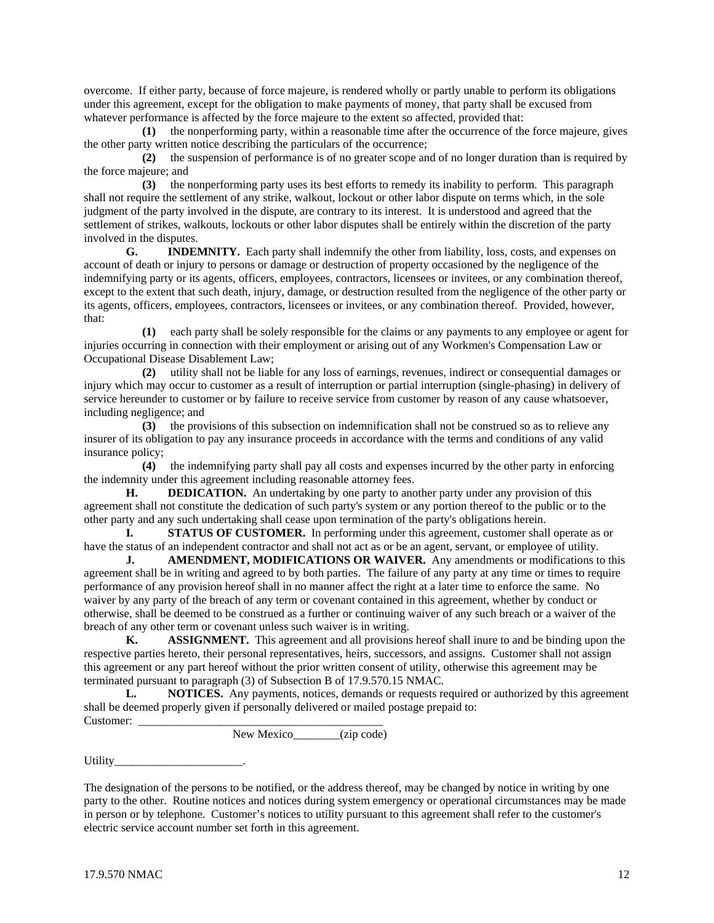overcome. If either party, because of force majeure, is rendered wholly or partly unable to perform its obligations under this agreement, except for the obligation to make payments of money, that party shall be excused from whatever performance is affected by the force majeure to the extent so affected, provided that:

 **(1)** the nonperforming party, within a reasonable time after the occurrence of the force majeure, gives the other party written notice describing the particulars of the occurrence;

 **(2)** the suspension of performance is of no greater scope and of no longer duration than is required by the force majeure; and

 **(3)** the nonperforming party uses its best efforts to remedy its inability to perform. This paragraph shall not require the settlement of any strike, walkout, lockout or other labor dispute on terms which, in the sole judgment of the party involved in the dispute, are contrary to its interest. It is understood and agreed that the settlement of strikes, walkouts, lockouts or other labor disputes shall be entirely within the discretion of the party involved in the disputes.

**G. INDEMNITY.** Each party shall indemnify the other from liability, loss, costs, and expenses on account of death or injury to persons or damage or destruction of property occasioned by the negligence of the indemnifying party or its agents, officers, employees, contractors, licensees or invitees, or any combination thereof, except to the extent that such death, injury, damage, or destruction resulted from the negligence of the other party or its agents, officers, employees, contractors, licensees or invitees, or any combination thereof. Provided, however, that:

 **(1)** each party shall be solely responsible for the claims or any payments to any employee or agent for injuries occurring in connection with their employment or arising out of any Workmen's Compensation Law or Occupational Disease Disablement Law;

 **(2)** utility shall not be liable for any loss of earnings, revenues, indirect or consequential damages or injury which may occur to customer as a result of interruption or partial interruption (single-phasing) in delivery of service hereunder to customer or by failure to receive service from customer by reason of any cause whatsoever, including negligence; and

 **(3)** the provisions of this subsection on indemnification shall not be construed so as to relieve any insurer of its obligation to pay any insurance proceeds in accordance with the terms and conditions of any valid insurance policy;

 **(4)** the indemnifying party shall pay all costs and expenses incurred by the other party in enforcing the indemnity under this agreement including reasonable attorney fees.

**H. DEDICATION.** An undertaking by one party to another party under any provision of this agreement shall not constitute the dedication of such party's system or any portion thereof to the public or to the other party and any such undertaking shall cease upon termination of the party's obligations herein.

**I. STATUS OF CUSTOMER.** In performing under this agreement, customer shall operate as or have the status of an independent contractor and shall not act as or be an agent, servant, or employee of utility.

**J. AMENDMENT, MODIFICATIONS OR WAIVER.** Any amendments or modifications to this agreement shall be in writing and agreed to by both parties. The failure of any party at any time or times to require performance of any provision hereof shall in no manner affect the right at a later time to enforce the same. No waiver by any party of the breach of any term or covenant contained in this agreement, whether by conduct or otherwise, shall be deemed to be construed as a further or continuing waiver of any such breach or a waiver of the breach of any other term or covenant unless such waiver is in writing.

**K. ASSIGNMENT.** This agreement and all provisions hereof shall inure to and be binding upon the respective parties hereto, their personal representatives, heirs, successors, and assigns. Customer shall not assign this agreement or any part hereof without the prior written consent of utility, otherwise this agreement may be terminated pursuant to paragraph (3) of Subsection B of 17.9.570.15 NMAC.

**L. NOTICES.** Any payments, notices, demands or requests required or authorized by this agreement shall be deemed properly given if personally delivered or mailed postage prepaid to: Customer:

New Mexico (zip code)

Utility\_

The designation of the persons to be notified, or the address thereof, may be changed by notice in writing by one party to the other. Routine notices and notices during system emergency or operational circumstances may be made in person or by telephone. Customer's notices to utility pursuant to this agreement shall refer to the customer's electric service account number set forth in this agreement.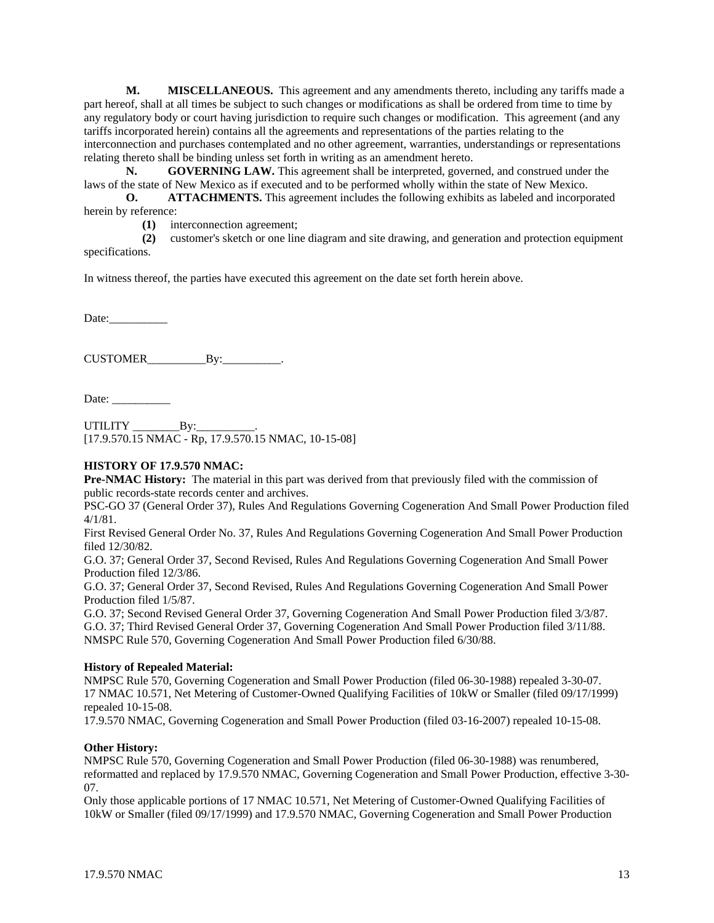**M. MISCELLANEOUS.** This agreement and any amendments thereto, including any tariffs made a part hereof, shall at all times be subject to such changes or modifications as shall be ordered from time to time by any regulatory body or court having jurisdiction to require such changes or modification. This agreement (and any tariffs incorporated herein) contains all the agreements and representations of the parties relating to the interconnection and purchases contemplated and no other agreement, warranties, understandings or representations relating thereto shall be binding unless set forth in writing as an amendment hereto.

**N. GOVERNING LAW.** This agreement shall be interpreted, governed, and construed under the laws of the state of New Mexico as if executed and to be performed wholly within the state of New Mexico.

**O. ATTACHMENTS.** This agreement includes the following exhibits as labeled and incorporated herein by reference:

**(1)** interconnection agreement;

 **(2)** customer's sketch or one line diagram and site drawing, and generation and protection equipment specifications.

In witness thereof, the parties have executed this agreement on the date set forth herein above.

Date:

CUSTOMER\_\_\_\_\_\_\_\_\_\_By:\_\_\_\_\_\_\_\_\_\_.

Date:

UTILITY \_\_\_\_\_\_\_\_By:\_\_\_\_\_\_\_\_\_\_. [17.9.570.15 NMAC - Rp, 17.9.570.15 NMAC, 10-15-08]

#### **HISTORY OF 17.9.570 NMAC:**

**Pre-NMAC History:** The material in this part was derived from that previously filed with the commission of public records-state records center and archives.

PSC-GO 37 (General Order 37), Rules And Regulations Governing Cogeneration And Small Power Production filed 4/1/81.

First Revised General Order No. 37, Rules And Regulations Governing Cogeneration And Small Power Production filed 12/30/82.

G.O. 37; General Order 37, Second Revised, Rules And Regulations Governing Cogeneration And Small Power Production filed 12/3/86.

G.O. 37; General Order 37, Second Revised, Rules And Regulations Governing Cogeneration And Small Power Production filed 1/5/87.

G.O. 37; Second Revised General Order 37, Governing Cogeneration And Small Power Production filed 3/3/87. G.O. 37; Third Revised General Order 37, Governing Cogeneration And Small Power Production filed 3/11/88. NMSPC Rule 570, Governing Cogeneration And Small Power Production filed 6/30/88.

### **History of Repealed Material:**

NMPSC Rule 570, Governing Cogeneration and Small Power Production (filed 06-30-1988) repealed 3-30-07. 17 NMAC 10.571, Net Metering of Customer-Owned Qualifying Facilities of 10kW or Smaller (filed 09/17/1999) repealed 10-15-08.

17.9.570 NMAC, Governing Cogeneration and Small Power Production (filed 03-16-2007) repealed 10-15-08.

#### **Other History:**

NMPSC Rule 570, Governing Cogeneration and Small Power Production (filed 06-30-1988) was renumbered, reformatted and replaced by 17.9.570 NMAC, Governing Cogeneration and Small Power Production, effective 3-30- 07.

Only those applicable portions of 17 NMAC 10.571, Net Metering of Customer-Owned Qualifying Facilities of 10kW or Smaller (filed 09/17/1999) and 17.9.570 NMAC, Governing Cogeneration and Small Power Production